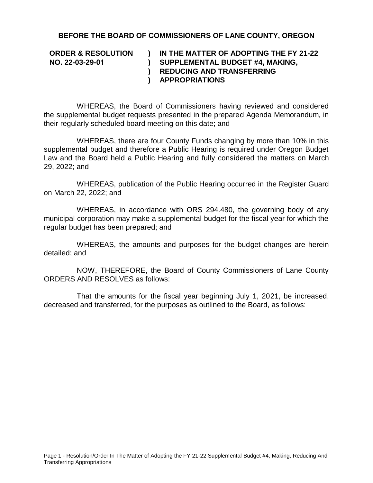## **BEFORE THE BOARD OF COMMISSIONERS OF LANE COUNTY, OREGON**

**ORDER & RESOLUTION NO. 22-03-29-01 ) ) ) REDUCING AND TRANSFERRING ) IN THE MATTER OF ADOPTING THE FY 21-22 SUPPLEMENTAL BUDGET #4, MAKING, APPROPRIATIONS** 

WHEREAS, the Board of Commissioners having reviewed and considered the supplemental budget requests presented in the prepared Agenda Memorandum, in their regularly scheduled board meeting on this date; and

WHEREAS, there are four County Funds changing by more than 10% in this supplemental budget and therefore a Public Hearing is required under Oregon Budget Law and the Board held a Public Hearing and fully considered the matters on March 29, 2022; and

WHEREAS, publication of the Public Hearing occurred in the Register Guard on March 22, 2022; and

WHEREAS, in accordance with ORS 294.480, the governing body of any municipal corporation may make a supplemental budget for the fiscal year for which the regular budget has been prepared; and

WHEREAS, the amounts and purposes for the budget changes are herein detailed; and

NOW, THEREFORE, the Board of County Commissioners of Lane County ORDERS AND RESOLVES as follows:

That the amounts for the fiscal year beginning July 1, 2021, be increased, decreased and transferred, for the purposes as outlined to the Board, as follows: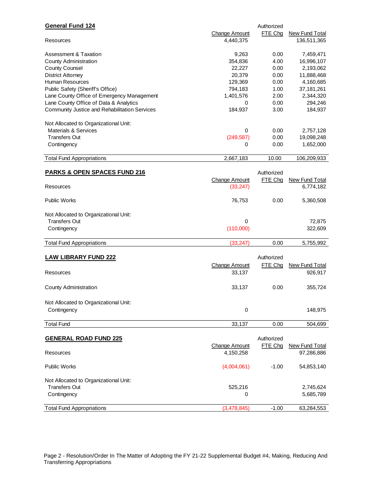| <b>Change Amount</b><br>FTE Chg<br><b>New Fund Total</b><br>136,511,365<br>4,440,375<br>Resources<br>Assessment & Taxation<br>9,263<br>0.00<br>7,459,471<br>4.00<br><b>County Administration</b><br>354,836<br>16,996,107<br>22,227<br>0.00<br>2,193,062<br><b>County Counsel</b><br><b>District Attorney</b><br>20,379<br>0.00<br>11,888,468<br>Human Resources<br>129,369<br>0.00<br>4,160,685<br>37, 181, 261<br>Public Safety (Sheriff's Office)<br>794,183<br>1.00<br>Lane County Office of Emergency Management<br>1,401,576<br>2.00<br>2,344,320<br>Lane County Office of Data & Analytics<br>0.00<br>294,246<br>0<br>Community Justice and Rehabilitation Services<br>184,937<br>3.00<br>184,937<br>Not Allocated to Organizational Unit:<br><b>Materials &amp; Services</b><br>0<br>0.00<br>2,757,128<br><b>Transfers Out</b><br>(249, 587)<br>0.00<br>19,098,248<br>0.00<br>Contingency<br>1,652,000<br>0<br><b>Total Fund Appropriations</b><br>2,667,183<br>10.00<br>106,209,933<br><b>PARKS &amp; OPEN SPACES FUND 216</b><br>Authorized<br><b>Change Amount</b><br>FTE Chg<br><b>New Fund Total</b><br>(33, 247)<br>6,774,182<br>Resources<br><b>Public Works</b><br>76,753<br>0.00<br>5,360,508<br>Not Allocated to Organizational Unit:<br><b>Transfers Out</b><br>0<br>72,875<br>(110,000)<br>322,609<br>Contingency<br>0.00<br><b>Total Fund Appropriations</b><br>(33, 247)<br>5,755,992<br><b>LAW LIBRARY FUND 222</b><br>Authorized<br>FTE Chg<br><b>Change Amount</b><br><b>New Fund Total</b><br>33,137<br>926,917<br>Resources<br>33,137<br>0.00<br><b>County Administration</b><br>355,724<br>Not Allocated to Organizational Unit:<br>$\pmb{0}$<br>Contingency<br>148,975<br><b>Total Fund</b><br>33,137<br>0.00<br>504,699<br><b>GENERAL ROAD FUND 225</b><br>Authorized<br>FTE Chg<br><b>Change Amount</b><br><b>New Fund Total</b><br>4,150,258<br>97,286,886<br>Resources<br><b>Public Works</b><br>(4,004,061)<br>$-1.00$<br>54,853,140<br>Not Allocated to Organizational Unit:<br><b>Transfers Out</b><br>525,216<br>2,745,624<br>Contingency<br>5,685,789<br>0<br><b>Total Fund Appropriations</b><br>(3,478,845)<br>$-1.00$<br>63,284,553 | <b>General Fund 124</b> | Authorized |  |
|------------------------------------------------------------------------------------------------------------------------------------------------------------------------------------------------------------------------------------------------------------------------------------------------------------------------------------------------------------------------------------------------------------------------------------------------------------------------------------------------------------------------------------------------------------------------------------------------------------------------------------------------------------------------------------------------------------------------------------------------------------------------------------------------------------------------------------------------------------------------------------------------------------------------------------------------------------------------------------------------------------------------------------------------------------------------------------------------------------------------------------------------------------------------------------------------------------------------------------------------------------------------------------------------------------------------------------------------------------------------------------------------------------------------------------------------------------------------------------------------------------------------------------------------------------------------------------------------------------------------------------------------------------------------------------------------------------------------------------------------------------------------------------------------------------------------------------------------------------------------------------------------------------------------------------------------------------------------------------------------------------------------------------------------------------------------------------------------------------------------------------------------------------------------------|-------------------------|------------|--|
|                                                                                                                                                                                                                                                                                                                                                                                                                                                                                                                                                                                                                                                                                                                                                                                                                                                                                                                                                                                                                                                                                                                                                                                                                                                                                                                                                                                                                                                                                                                                                                                                                                                                                                                                                                                                                                                                                                                                                                                                                                                                                                                                                                              |                         |            |  |
|                                                                                                                                                                                                                                                                                                                                                                                                                                                                                                                                                                                                                                                                                                                                                                                                                                                                                                                                                                                                                                                                                                                                                                                                                                                                                                                                                                                                                                                                                                                                                                                                                                                                                                                                                                                                                                                                                                                                                                                                                                                                                                                                                                              |                         |            |  |
|                                                                                                                                                                                                                                                                                                                                                                                                                                                                                                                                                                                                                                                                                                                                                                                                                                                                                                                                                                                                                                                                                                                                                                                                                                                                                                                                                                                                                                                                                                                                                                                                                                                                                                                                                                                                                                                                                                                                                                                                                                                                                                                                                                              |                         |            |  |
|                                                                                                                                                                                                                                                                                                                                                                                                                                                                                                                                                                                                                                                                                                                                                                                                                                                                                                                                                                                                                                                                                                                                                                                                                                                                                                                                                                                                                                                                                                                                                                                                                                                                                                                                                                                                                                                                                                                                                                                                                                                                                                                                                                              |                         |            |  |
|                                                                                                                                                                                                                                                                                                                                                                                                                                                                                                                                                                                                                                                                                                                                                                                                                                                                                                                                                                                                                                                                                                                                                                                                                                                                                                                                                                                                                                                                                                                                                                                                                                                                                                                                                                                                                                                                                                                                                                                                                                                                                                                                                                              |                         |            |  |
|                                                                                                                                                                                                                                                                                                                                                                                                                                                                                                                                                                                                                                                                                                                                                                                                                                                                                                                                                                                                                                                                                                                                                                                                                                                                                                                                                                                                                                                                                                                                                                                                                                                                                                                                                                                                                                                                                                                                                                                                                                                                                                                                                                              |                         |            |  |
|                                                                                                                                                                                                                                                                                                                                                                                                                                                                                                                                                                                                                                                                                                                                                                                                                                                                                                                                                                                                                                                                                                                                                                                                                                                                                                                                                                                                                                                                                                                                                                                                                                                                                                                                                                                                                                                                                                                                                                                                                                                                                                                                                                              |                         |            |  |
|                                                                                                                                                                                                                                                                                                                                                                                                                                                                                                                                                                                                                                                                                                                                                                                                                                                                                                                                                                                                                                                                                                                                                                                                                                                                                                                                                                                                                                                                                                                                                                                                                                                                                                                                                                                                                                                                                                                                                                                                                                                                                                                                                                              |                         |            |  |
|                                                                                                                                                                                                                                                                                                                                                                                                                                                                                                                                                                                                                                                                                                                                                                                                                                                                                                                                                                                                                                                                                                                                                                                                                                                                                                                                                                                                                                                                                                                                                                                                                                                                                                                                                                                                                                                                                                                                                                                                                                                                                                                                                                              |                         |            |  |
|                                                                                                                                                                                                                                                                                                                                                                                                                                                                                                                                                                                                                                                                                                                                                                                                                                                                                                                                                                                                                                                                                                                                                                                                                                                                                                                                                                                                                                                                                                                                                                                                                                                                                                                                                                                                                                                                                                                                                                                                                                                                                                                                                                              |                         |            |  |
|                                                                                                                                                                                                                                                                                                                                                                                                                                                                                                                                                                                                                                                                                                                                                                                                                                                                                                                                                                                                                                                                                                                                                                                                                                                                                                                                                                                                                                                                                                                                                                                                                                                                                                                                                                                                                                                                                                                                                                                                                                                                                                                                                                              |                         |            |  |
|                                                                                                                                                                                                                                                                                                                                                                                                                                                                                                                                                                                                                                                                                                                                                                                                                                                                                                                                                                                                                                                                                                                                                                                                                                                                                                                                                                                                                                                                                                                                                                                                                                                                                                                                                                                                                                                                                                                                                                                                                                                                                                                                                                              |                         |            |  |
|                                                                                                                                                                                                                                                                                                                                                                                                                                                                                                                                                                                                                                                                                                                                                                                                                                                                                                                                                                                                                                                                                                                                                                                                                                                                                                                                                                                                                                                                                                                                                                                                                                                                                                                                                                                                                                                                                                                                                                                                                                                                                                                                                                              |                         |            |  |
|                                                                                                                                                                                                                                                                                                                                                                                                                                                                                                                                                                                                                                                                                                                                                                                                                                                                                                                                                                                                                                                                                                                                                                                                                                                                                                                                                                                                                                                                                                                                                                                                                                                                                                                                                                                                                                                                                                                                                                                                                                                                                                                                                                              |                         |            |  |
|                                                                                                                                                                                                                                                                                                                                                                                                                                                                                                                                                                                                                                                                                                                                                                                                                                                                                                                                                                                                                                                                                                                                                                                                                                                                                                                                                                                                                                                                                                                                                                                                                                                                                                                                                                                                                                                                                                                                                                                                                                                                                                                                                                              |                         |            |  |
|                                                                                                                                                                                                                                                                                                                                                                                                                                                                                                                                                                                                                                                                                                                                                                                                                                                                                                                                                                                                                                                                                                                                                                                                                                                                                                                                                                                                                                                                                                                                                                                                                                                                                                                                                                                                                                                                                                                                                                                                                                                                                                                                                                              |                         |            |  |
|                                                                                                                                                                                                                                                                                                                                                                                                                                                                                                                                                                                                                                                                                                                                                                                                                                                                                                                                                                                                                                                                                                                                                                                                                                                                                                                                                                                                                                                                                                                                                                                                                                                                                                                                                                                                                                                                                                                                                                                                                                                                                                                                                                              |                         |            |  |
|                                                                                                                                                                                                                                                                                                                                                                                                                                                                                                                                                                                                                                                                                                                                                                                                                                                                                                                                                                                                                                                                                                                                                                                                                                                                                                                                                                                                                                                                                                                                                                                                                                                                                                                                                                                                                                                                                                                                                                                                                                                                                                                                                                              |                         |            |  |
|                                                                                                                                                                                                                                                                                                                                                                                                                                                                                                                                                                                                                                                                                                                                                                                                                                                                                                                                                                                                                                                                                                                                                                                                                                                                                                                                                                                                                                                                                                                                                                                                                                                                                                                                                                                                                                                                                                                                                                                                                                                                                                                                                                              |                         |            |  |
|                                                                                                                                                                                                                                                                                                                                                                                                                                                                                                                                                                                                                                                                                                                                                                                                                                                                                                                                                                                                                                                                                                                                                                                                                                                                                                                                                                                                                                                                                                                                                                                                                                                                                                                                                                                                                                                                                                                                                                                                                                                                                                                                                                              |                         |            |  |
|                                                                                                                                                                                                                                                                                                                                                                                                                                                                                                                                                                                                                                                                                                                                                                                                                                                                                                                                                                                                                                                                                                                                                                                                                                                                                                                                                                                                                                                                                                                                                                                                                                                                                                                                                                                                                                                                                                                                                                                                                                                                                                                                                                              |                         |            |  |
|                                                                                                                                                                                                                                                                                                                                                                                                                                                                                                                                                                                                                                                                                                                                                                                                                                                                                                                                                                                                                                                                                                                                                                                                                                                                                                                                                                                                                                                                                                                                                                                                                                                                                                                                                                                                                                                                                                                                                                                                                                                                                                                                                                              |                         |            |  |
|                                                                                                                                                                                                                                                                                                                                                                                                                                                                                                                                                                                                                                                                                                                                                                                                                                                                                                                                                                                                                                                                                                                                                                                                                                                                                                                                                                                                                                                                                                                                                                                                                                                                                                                                                                                                                                                                                                                                                                                                                                                                                                                                                                              |                         |            |  |
|                                                                                                                                                                                                                                                                                                                                                                                                                                                                                                                                                                                                                                                                                                                                                                                                                                                                                                                                                                                                                                                                                                                                                                                                                                                                                                                                                                                                                                                                                                                                                                                                                                                                                                                                                                                                                                                                                                                                                                                                                                                                                                                                                                              |                         |            |  |
|                                                                                                                                                                                                                                                                                                                                                                                                                                                                                                                                                                                                                                                                                                                                                                                                                                                                                                                                                                                                                                                                                                                                                                                                                                                                                                                                                                                                                                                                                                                                                                                                                                                                                                                                                                                                                                                                                                                                                                                                                                                                                                                                                                              |                         |            |  |
|                                                                                                                                                                                                                                                                                                                                                                                                                                                                                                                                                                                                                                                                                                                                                                                                                                                                                                                                                                                                                                                                                                                                                                                                                                                                                                                                                                                                                                                                                                                                                                                                                                                                                                                                                                                                                                                                                                                                                                                                                                                                                                                                                                              |                         |            |  |
|                                                                                                                                                                                                                                                                                                                                                                                                                                                                                                                                                                                                                                                                                                                                                                                                                                                                                                                                                                                                                                                                                                                                                                                                                                                                                                                                                                                                                                                                                                                                                                                                                                                                                                                                                                                                                                                                                                                                                                                                                                                                                                                                                                              |                         |            |  |
|                                                                                                                                                                                                                                                                                                                                                                                                                                                                                                                                                                                                                                                                                                                                                                                                                                                                                                                                                                                                                                                                                                                                                                                                                                                                                                                                                                                                                                                                                                                                                                                                                                                                                                                                                                                                                                                                                                                                                                                                                                                                                                                                                                              |                         |            |  |
|                                                                                                                                                                                                                                                                                                                                                                                                                                                                                                                                                                                                                                                                                                                                                                                                                                                                                                                                                                                                                                                                                                                                                                                                                                                                                                                                                                                                                                                                                                                                                                                                                                                                                                                                                                                                                                                                                                                                                                                                                                                                                                                                                                              |                         |            |  |
|                                                                                                                                                                                                                                                                                                                                                                                                                                                                                                                                                                                                                                                                                                                                                                                                                                                                                                                                                                                                                                                                                                                                                                                                                                                                                                                                                                                                                                                                                                                                                                                                                                                                                                                                                                                                                                                                                                                                                                                                                                                                                                                                                                              |                         |            |  |
|                                                                                                                                                                                                                                                                                                                                                                                                                                                                                                                                                                                                                                                                                                                                                                                                                                                                                                                                                                                                                                                                                                                                                                                                                                                                                                                                                                                                                                                                                                                                                                                                                                                                                                                                                                                                                                                                                                                                                                                                                                                                                                                                                                              |                         |            |  |
|                                                                                                                                                                                                                                                                                                                                                                                                                                                                                                                                                                                                                                                                                                                                                                                                                                                                                                                                                                                                                                                                                                                                                                                                                                                                                                                                                                                                                                                                                                                                                                                                                                                                                                                                                                                                                                                                                                                                                                                                                                                                                                                                                                              |                         |            |  |
|                                                                                                                                                                                                                                                                                                                                                                                                                                                                                                                                                                                                                                                                                                                                                                                                                                                                                                                                                                                                                                                                                                                                                                                                                                                                                                                                                                                                                                                                                                                                                                                                                                                                                                                                                                                                                                                                                                                                                                                                                                                                                                                                                                              |                         |            |  |
|                                                                                                                                                                                                                                                                                                                                                                                                                                                                                                                                                                                                                                                                                                                                                                                                                                                                                                                                                                                                                                                                                                                                                                                                                                                                                                                                                                                                                                                                                                                                                                                                                                                                                                                                                                                                                                                                                                                                                                                                                                                                                                                                                                              |                         |            |  |
|                                                                                                                                                                                                                                                                                                                                                                                                                                                                                                                                                                                                                                                                                                                                                                                                                                                                                                                                                                                                                                                                                                                                                                                                                                                                                                                                                                                                                                                                                                                                                                                                                                                                                                                                                                                                                                                                                                                                                                                                                                                                                                                                                                              |                         |            |  |
|                                                                                                                                                                                                                                                                                                                                                                                                                                                                                                                                                                                                                                                                                                                                                                                                                                                                                                                                                                                                                                                                                                                                                                                                                                                                                                                                                                                                                                                                                                                                                                                                                                                                                                                                                                                                                                                                                                                                                                                                                                                                                                                                                                              |                         |            |  |
|                                                                                                                                                                                                                                                                                                                                                                                                                                                                                                                                                                                                                                                                                                                                                                                                                                                                                                                                                                                                                                                                                                                                                                                                                                                                                                                                                                                                                                                                                                                                                                                                                                                                                                                                                                                                                                                                                                                                                                                                                                                                                                                                                                              |                         |            |  |
|                                                                                                                                                                                                                                                                                                                                                                                                                                                                                                                                                                                                                                                                                                                                                                                                                                                                                                                                                                                                                                                                                                                                                                                                                                                                                                                                                                                                                                                                                                                                                                                                                                                                                                                                                                                                                                                                                                                                                                                                                                                                                                                                                                              |                         |            |  |
|                                                                                                                                                                                                                                                                                                                                                                                                                                                                                                                                                                                                                                                                                                                                                                                                                                                                                                                                                                                                                                                                                                                                                                                                                                                                                                                                                                                                                                                                                                                                                                                                                                                                                                                                                                                                                                                                                                                                                                                                                                                                                                                                                                              |                         |            |  |
|                                                                                                                                                                                                                                                                                                                                                                                                                                                                                                                                                                                                                                                                                                                                                                                                                                                                                                                                                                                                                                                                                                                                                                                                                                                                                                                                                                                                                                                                                                                                                                                                                                                                                                                                                                                                                                                                                                                                                                                                                                                                                                                                                                              |                         |            |  |
|                                                                                                                                                                                                                                                                                                                                                                                                                                                                                                                                                                                                                                                                                                                                                                                                                                                                                                                                                                                                                                                                                                                                                                                                                                                                                                                                                                                                                                                                                                                                                                                                                                                                                                                                                                                                                                                                                                                                                                                                                                                                                                                                                                              |                         |            |  |
|                                                                                                                                                                                                                                                                                                                                                                                                                                                                                                                                                                                                                                                                                                                                                                                                                                                                                                                                                                                                                                                                                                                                                                                                                                                                                                                                                                                                                                                                                                                                                                                                                                                                                                                                                                                                                                                                                                                                                                                                                                                                                                                                                                              |                         |            |  |
|                                                                                                                                                                                                                                                                                                                                                                                                                                                                                                                                                                                                                                                                                                                                                                                                                                                                                                                                                                                                                                                                                                                                                                                                                                                                                                                                                                                                                                                                                                                                                                                                                                                                                                                                                                                                                                                                                                                                                                                                                                                                                                                                                                              |                         |            |  |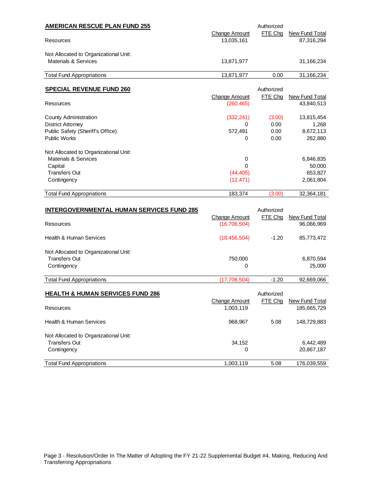| <b>AMERICAN RESCUE PLAN FUND 255</b>      |                      | Authorized |                       |
|-------------------------------------------|----------------------|------------|-----------------------|
|                                           | <b>Change Amount</b> | FTE Chg    | New Fund Total        |
| Resources                                 | 13,035,161           |            | 87,316,294            |
| Not Allocated to Organizational Unit:     |                      |            |                       |
| Materials & Services                      | 13,871,977           |            | 31,166,234            |
| <b>Total Fund Appropriations</b>          | 13,871,977           | 0.00       | 31,166,234            |
| <b>SPECIAL REVENUE FUND 260</b>           |                      | Authorized |                       |
|                                           | <b>Change Amount</b> | FTE Chg    | <b>New Fund Total</b> |
| Resources                                 | (260, 465)           |            | 43,840,513            |
| County Administration                     | (332, 241)           | (3.00)     | 13,815,454            |
| <b>District Attorney</b>                  | $\Omega$             | 0.00       | 1,268                 |
| Public Safety (Sheriff's Office)          | 572,491              | 0.00       | 8,672,113             |
| <b>Public Works</b>                       | 0                    | 0.00       | 262,880               |
| Not Allocated to Organizational Unit:     |                      |            |                       |
| Materials & Services                      | 0                    |            | 6,846,835             |
| Capital                                   | 0                    |            | 50,000                |
| <b>Transfers Out</b>                      | (44, 405)            |            | 653,827               |
| Contingency                               | (12, 471)            |            | 2,061,804             |
| <b>Total Fund Appropriations</b>          | 183,374              | (3.00)     | 32,364,181            |
| INTERGOVERNMENTAL HUMAN SERVICES FUND 285 |                      | Authorized |                       |

| <b>INTERGOVERNMENTAL HUMAN SERVICES FUND 285</b>              |                               | Authorized |                              |
|---------------------------------------------------------------|-------------------------------|------------|------------------------------|
| Resources                                                     | Change Amount<br>(16,706,504) | FTE Cha    | New Fund Total<br>96,066,969 |
| <b>Health &amp; Human Services</b>                            | (18, 456, 504)                | $-1.20$    | 85,773,472                   |
| Not Allocated to Organizational Unit:<br><b>Transfers Out</b> | 750,000                       |            | 6,870,594                    |
| Contingency                                                   | 0                             |            | 25,000                       |
| <b>Total Fund Appropriations</b>                              | (17,706,504)                  | $-1.20$    | 92.669.066                   |

| <b>HEALTH &amp; HUMAN SERVICES FUND 286</b> | Change Amount | Authorized<br>FTE Cha | New Fund Total |
|---------------------------------------------|---------------|-----------------------|----------------|
| Resources                                   | 1,003,119     |                       | 185,665,729    |
| Health & Human Services                     | 968.967       | 5.08                  | 148,729,883    |
| Not Allocated to Organizational Unit:       |               |                       |                |
| <b>Transfers Out</b>                        | 34,152        |                       | 6,442,489      |
| Contingency                                 | 0             |                       | 20,867,187     |
| <b>Total Fund Appropriations</b>            | 1,003,119     | 5.08                  | 176,039,559    |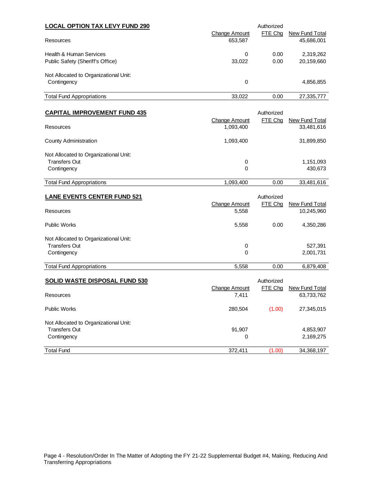| <b>LOCAL OPTION TAX LEVY FUND 290</b>                       |                          | Authorized   |                              |
|-------------------------------------------------------------|--------------------------|--------------|------------------------------|
| Resources                                                   | Change Amount<br>653,587 | FTE Cha      | New Fund Total<br>45,686,001 |
| Health & Human Services<br>Public Safety (Sheriff's Office) | 0<br>33.022              | 0.00<br>0.00 | 2,319,262<br>20,159,660      |
| Not Allocated to Organizational Unit:<br>Contingency        | 0                        |              | 4,856,855                    |
| <b>Total Fund Appropriations</b>                            | 33.022                   | 0.00         | 27.335.777                   |

| <b>CAPITAL IMPROVEMENT FUND 435</b>   | Authorized                 |         |                              |  |
|---------------------------------------|----------------------------|---------|------------------------------|--|
| Resources                             | Change Amount<br>1,093,400 | FTE Cha | New Fund Total<br>33,481,616 |  |
| County Administration                 | 1,093,400                  |         | 31,899,850                   |  |
| Not Allocated to Organizational Unit: |                            |         |                              |  |
| <b>Transfers Out</b>                  | 0                          |         | 1,151,093                    |  |
| Contingency                           | 0                          |         | 430,673                      |  |
| <b>Total Fund Appropriations</b>      | 1,093,400                  | 0.00    | 33,481,616                   |  |

| <b>LANE EVENTS CENTER FUND 521</b>    | Change Amount | Authorized<br>FTE Chq | New Fund Total |
|---------------------------------------|---------------|-----------------------|----------------|
| Resources                             | 5,558         |                       | 10,245,960     |
| <b>Public Works</b>                   | 5,558         | 0.00                  | 4,350,286      |
| Not Allocated to Organizational Unit: |               |                       |                |
| <b>Transfers Out</b>                  | 0             |                       | 527,391        |
| Contingency                           | 0             |                       | 2,001,731      |
| <b>Total Fund Appropriations</b>      | 5,558         | 0.00                  | 6,879,408      |

| <b>SOLID WASTE DISPOSAL FUND 530</b>  |                        |         |                              |
|---------------------------------------|------------------------|---------|------------------------------|
| Resources                             | Change Amount<br>7,411 | FTE Chg | New Fund Total<br>63,733,762 |
| <b>Public Works</b>                   | 280,504                | (1.00)  | 27,345,015                   |
| Not Allocated to Organizational Unit: |                        |         |                              |
| <b>Transfers Out</b>                  | 91,907                 |         | 4,853,907                    |
| Contingency                           | 0                      |         | 2,169,275                    |
| <b>Total Fund</b>                     | 372.411                | (1.00)  | 34,368,197                   |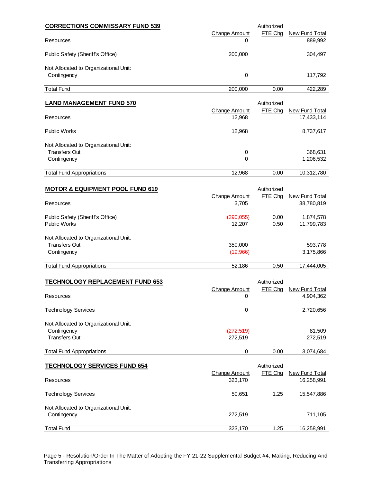| <b>CORRECTIONS COMMISSARY FUND 539</b>     |                                | Authorized            |                                  |
|--------------------------------------------|--------------------------------|-----------------------|----------------------------------|
| Resources                                  | <b>Change Amount</b><br>0      | FTE Chg               | <b>New Fund Total</b><br>889,992 |
| Public Safety (Sheriff's Office)           | 200,000                        |                       | 304,497                          |
| Not Allocated to Organizational Unit:      |                                |                       |                                  |
| Contingency                                | 0                              |                       | 117,792                          |
| <b>Total Fund</b>                          | 200,000                        | 0.00                  | 422,289                          |
| <b>LAND MANAGEMENT FUND 570</b>            |                                | Authorized            |                                  |
| Resources                                  | <b>Change Amount</b><br>12,968 | FTE Chg               | New Fund Total<br>17,433,114     |
| <b>Public Works</b>                        | 12,968                         |                       | 8,737,617                        |
| Not Allocated to Organizational Unit:      |                                |                       |                                  |
| <b>Transfers Out</b>                       | 0                              |                       | 368,631                          |
| Contingency                                | 0                              |                       | 1,206,532                        |
| <b>Total Fund Appropriations</b>           | 12,968                         | 0.00                  | 10,312,780                       |
|                                            |                                |                       |                                  |
| <b>MOTOR &amp; EQUIPMENT POOL FUND 619</b> | <b>Change Amount</b>           | Authorized<br>FTE Chg | <b>New Fund Total</b>            |
| Resources                                  | 3,705                          |                       | 38,780,819                       |
| Public Safety (Sheriff's Office)           | (290, 055)                     | 0.00                  | 1,874,578                        |
| <b>Public Works</b>                        | 12,207                         | 0.50                  | 11,799,783                       |
| Not Allocated to Organizational Unit:      |                                |                       |                                  |
| <b>Transfers Out</b>                       | 350,000                        |                       | 593,778                          |
| Contingency                                | (19,966)                       |                       | 3,175,866                        |
| <b>Total Fund Appropriations</b>           | 52,186                         | 0.50                  | 17,444,005                       |
|                                            |                                |                       |                                  |
| <b>TECHNOLOGY REPLACEMENT FUND 653</b>     | <b>Change Amount</b>           | Authorized<br>FTE Chg | <b>New Fund Total</b>            |
| Resources                                  | 0                              |                       | 4,904,362                        |
| <b>Technology Services</b>                 | $\pmb{0}$                      |                       | 2,720,656                        |
| Not Allocated to Organizational Unit:      |                                |                       |                                  |
| Contingency                                | (272, 519)                     |                       | 81,509                           |
| <b>Transfers Out</b>                       | 272,519                        |                       | 272,519                          |
| <b>Total Fund Appropriations</b>           | 0                              | 0.00                  | 3,074,684                        |
| <b>TECHNOLOGY SERVICES FUND 654</b>        |                                | Authorized            |                                  |
|                                            | <b>Change Amount</b>           | FTE Chg               | <b>New Fund Total</b>            |
| Resources                                  | 323,170                        |                       | 16,258,991                       |
| <b>Technology Services</b>                 | 50,651                         | 1.25                  | 15,547,886                       |
| Not Allocated to Organizational Unit:      |                                |                       |                                  |
| Contingency                                | 272,519                        |                       | 711,105                          |
| <b>Total Fund</b>                          | 323,170                        | 1.25                  | 16,258,991                       |